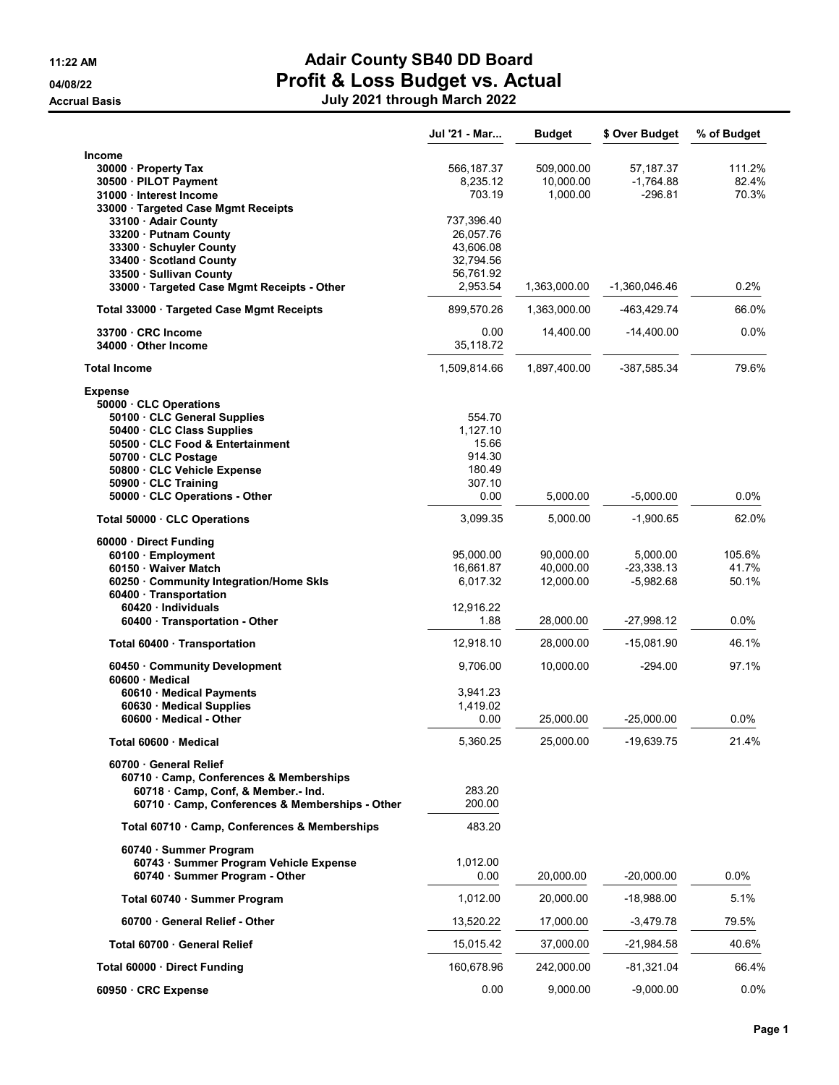| Income<br>509,000.00<br>57,187.37<br>30000 · Property Tax<br>566,187.37<br>111.2%<br>8,235.12<br>10,000.00<br>$-1,764.88$<br>82.4%<br>30500 · PILOT Payment<br>703.19<br>$-296.81$<br>70.3%<br>31000 · Interest Income<br>1,000.00<br>33000 · Targeted Case Mgmt Receipts<br>33100 · Adair County<br>737,396.40<br>33200 · Putnam County<br>26,057.76<br>43,606.08<br>33300 Schuyler County<br>33400 Scotland County<br>32.794.56<br>56,761.92<br>33500 · Sullivan County<br>33000 · Targeted Case Mgmt Receipts - Other<br>2,953.54<br>1,363,000.00<br>0.2%<br>$-1,360,046.46$<br>66.0%<br>Total 33000 · Targeted Case Mgmt Receipts<br>899,570.26<br>1,363,000.00<br>-463,429.74<br>$0.0\%$<br>33700 CRC Income<br>0.00<br>14,400.00<br>$-14,400.00$<br>35,118.72<br>34000 Other Income<br>79.6%<br>1,897,400.00<br>-387,585.34<br>1,509,814.66<br><b>Total Income</b><br><b>Expense</b><br>50000 CLC Operations<br>50100 CLC General Supplies<br>554.70<br>1,127.10<br>50400 CLC Class Supplies<br>50500 · CLC Food & Entertainment<br>15.66<br>914.30<br>50700 CLC Postage<br>180.49<br>50800 CLC Vehicle Expense<br>307.10<br>50900 · CLC Training<br>0.00<br>$-5,000.00$<br>$0.0\%$<br>50000 CLC Operations - Other<br>5,000.00<br>3,099.35<br>5,000.00<br>$-1,900.65$<br>62.0%<br>Total 50000 CLC Operations<br>60000 · Direct Funding<br>105.6%<br>95,000.00<br>90,000.00<br>5,000.00<br>60100 · Employment<br>16,661.87<br>41.7%<br>60150 Waiver Match<br>40,000.00<br>$-23,338.13$<br>6,017.32<br>12,000.00<br>$-5,982.68$<br>50.1%<br>60250 Community Integration/Home Skls<br>60400 · Transportation<br>12,916.22<br>60420 Individuals<br>1.88<br>28,000.00<br>$-27,998.12$<br>$0.0\%$<br>60400 Transportation - Other<br>12,918.10<br>28,000.00<br>-15,081.90<br>46.1%<br>Total 60400 · Transportation<br>60450 Community Development<br>9,706.00<br>10,000.00<br>97.1%<br>$-294.00$<br>60600 Medical<br>60610 · Medical Payments<br>3,941.23<br>1,419.02<br>60630 Medical Supplies<br>60600 · Medical - Other<br>0.00<br>25,000.00<br>$-25,000.00$<br>0.0%<br>5,360.25<br>25,000.00<br>-19,639.75<br>21.4%<br>Total 60600 · Medical<br>60700 General Relief<br>60710 Camp, Conferences & Memberships<br>60718 Camp, Conf, & Member.- Ind.<br>283.20<br>200.00<br>60710 · Camp, Conferences & Memberships - Other<br>483.20<br>Total 60710 · Camp, Conferences & Memberships<br>60740 · Summer Program<br>60743 · Summer Program Vehicle Expense<br>1,012.00<br>0.00<br>20,000.00<br>$-20,000.00$<br>$0.0\%$<br>60740 · Summer Program - Other<br>1,012.00<br>5.1%<br>Total 60740 · Summer Program<br>20,000.00<br>-18,988.00<br>13,520.22<br>79.5%<br>60700 General Relief - Other<br>17,000.00<br>$-3,479.78$<br>40.6%<br>Total 60700 · General Relief<br>15,015.42<br>37,000.00<br>-21,984.58<br>Total 60000 Direct Funding<br>160,678.96<br>242,000.00<br>-81,321.04<br>66.4%<br>0.00<br>9,000.00<br>60950 · CRC Expense<br>$-9,000.00$ | Jul '21 - Mar | <b>Budget</b> | \$ Over Budget | % of Budget |
|----------------------------------------------------------------------------------------------------------------------------------------------------------------------------------------------------------------------------------------------------------------------------------------------------------------------------------------------------------------------------------------------------------------------------------------------------------------------------------------------------------------------------------------------------------------------------------------------------------------------------------------------------------------------------------------------------------------------------------------------------------------------------------------------------------------------------------------------------------------------------------------------------------------------------------------------------------------------------------------------------------------------------------------------------------------------------------------------------------------------------------------------------------------------------------------------------------------------------------------------------------------------------------------------------------------------------------------------------------------------------------------------------------------------------------------------------------------------------------------------------------------------------------------------------------------------------------------------------------------------------------------------------------------------------------------------------------------------------------------------------------------------------------------------------------------------------------------------------------------------------------------------------------------------------------------------------------------------------------------------------------------------------------------------------------------------------------------------------------------------------------------------------------------------------------------------------------------------------------------------------------------------------------------------------------------------------------------------------------------------------------------------------------------------------------------------------------------------------------------------------------------------------------------------------------------------------------------------------------------------------------------------------------------------------------------------------------------------------------------------------------------------------------------------------------------------------------------------------------------------------------------------------------------------------------------------------------|---------------|---------------|----------------|-------------|
|                                                                                                                                                                                                                                                                                                                                                                                                                                                                                                                                                                                                                                                                                                                                                                                                                                                                                                                                                                                                                                                                                                                                                                                                                                                                                                                                                                                                                                                                                                                                                                                                                                                                                                                                                                                                                                                                                                                                                                                                                                                                                                                                                                                                                                                                                                                                                                                                                                                                                                                                                                                                                                                                                                                                                                                                                                                                                                                                                          |               |               |                |             |
|                                                                                                                                                                                                                                                                                                                                                                                                                                                                                                                                                                                                                                                                                                                                                                                                                                                                                                                                                                                                                                                                                                                                                                                                                                                                                                                                                                                                                                                                                                                                                                                                                                                                                                                                                                                                                                                                                                                                                                                                                                                                                                                                                                                                                                                                                                                                                                                                                                                                                                                                                                                                                                                                                                                                                                                                                                                                                                                                                          |               |               |                |             |
|                                                                                                                                                                                                                                                                                                                                                                                                                                                                                                                                                                                                                                                                                                                                                                                                                                                                                                                                                                                                                                                                                                                                                                                                                                                                                                                                                                                                                                                                                                                                                                                                                                                                                                                                                                                                                                                                                                                                                                                                                                                                                                                                                                                                                                                                                                                                                                                                                                                                                                                                                                                                                                                                                                                                                                                                                                                                                                                                                          |               |               |                |             |
|                                                                                                                                                                                                                                                                                                                                                                                                                                                                                                                                                                                                                                                                                                                                                                                                                                                                                                                                                                                                                                                                                                                                                                                                                                                                                                                                                                                                                                                                                                                                                                                                                                                                                                                                                                                                                                                                                                                                                                                                                                                                                                                                                                                                                                                                                                                                                                                                                                                                                                                                                                                                                                                                                                                                                                                                                                                                                                                                                          |               |               |                |             |
|                                                                                                                                                                                                                                                                                                                                                                                                                                                                                                                                                                                                                                                                                                                                                                                                                                                                                                                                                                                                                                                                                                                                                                                                                                                                                                                                                                                                                                                                                                                                                                                                                                                                                                                                                                                                                                                                                                                                                                                                                                                                                                                                                                                                                                                                                                                                                                                                                                                                                                                                                                                                                                                                                                                                                                                                                                                                                                                                                          |               |               |                |             |
|                                                                                                                                                                                                                                                                                                                                                                                                                                                                                                                                                                                                                                                                                                                                                                                                                                                                                                                                                                                                                                                                                                                                                                                                                                                                                                                                                                                                                                                                                                                                                                                                                                                                                                                                                                                                                                                                                                                                                                                                                                                                                                                                                                                                                                                                                                                                                                                                                                                                                                                                                                                                                                                                                                                                                                                                                                                                                                                                                          |               |               |                |             |
|                                                                                                                                                                                                                                                                                                                                                                                                                                                                                                                                                                                                                                                                                                                                                                                                                                                                                                                                                                                                                                                                                                                                                                                                                                                                                                                                                                                                                                                                                                                                                                                                                                                                                                                                                                                                                                                                                                                                                                                                                                                                                                                                                                                                                                                                                                                                                                                                                                                                                                                                                                                                                                                                                                                                                                                                                                                                                                                                                          |               |               |                |             |
|                                                                                                                                                                                                                                                                                                                                                                                                                                                                                                                                                                                                                                                                                                                                                                                                                                                                                                                                                                                                                                                                                                                                                                                                                                                                                                                                                                                                                                                                                                                                                                                                                                                                                                                                                                                                                                                                                                                                                                                                                                                                                                                                                                                                                                                                                                                                                                                                                                                                                                                                                                                                                                                                                                                                                                                                                                                                                                                                                          |               |               |                |             |
|                                                                                                                                                                                                                                                                                                                                                                                                                                                                                                                                                                                                                                                                                                                                                                                                                                                                                                                                                                                                                                                                                                                                                                                                                                                                                                                                                                                                                                                                                                                                                                                                                                                                                                                                                                                                                                                                                                                                                                                                                                                                                                                                                                                                                                                                                                                                                                                                                                                                                                                                                                                                                                                                                                                                                                                                                                                                                                                                                          |               |               |                |             |
|                                                                                                                                                                                                                                                                                                                                                                                                                                                                                                                                                                                                                                                                                                                                                                                                                                                                                                                                                                                                                                                                                                                                                                                                                                                                                                                                                                                                                                                                                                                                                                                                                                                                                                                                                                                                                                                                                                                                                                                                                                                                                                                                                                                                                                                                                                                                                                                                                                                                                                                                                                                                                                                                                                                                                                                                                                                                                                                                                          |               |               |                |             |
|                                                                                                                                                                                                                                                                                                                                                                                                                                                                                                                                                                                                                                                                                                                                                                                                                                                                                                                                                                                                                                                                                                                                                                                                                                                                                                                                                                                                                                                                                                                                                                                                                                                                                                                                                                                                                                                                                                                                                                                                                                                                                                                                                                                                                                                                                                                                                                                                                                                                                                                                                                                                                                                                                                                                                                                                                                                                                                                                                          |               |               |                |             |
|                                                                                                                                                                                                                                                                                                                                                                                                                                                                                                                                                                                                                                                                                                                                                                                                                                                                                                                                                                                                                                                                                                                                                                                                                                                                                                                                                                                                                                                                                                                                                                                                                                                                                                                                                                                                                                                                                                                                                                                                                                                                                                                                                                                                                                                                                                                                                                                                                                                                                                                                                                                                                                                                                                                                                                                                                                                                                                                                                          |               |               |                |             |
|                                                                                                                                                                                                                                                                                                                                                                                                                                                                                                                                                                                                                                                                                                                                                                                                                                                                                                                                                                                                                                                                                                                                                                                                                                                                                                                                                                                                                                                                                                                                                                                                                                                                                                                                                                                                                                                                                                                                                                                                                                                                                                                                                                                                                                                                                                                                                                                                                                                                                                                                                                                                                                                                                                                                                                                                                                                                                                                                                          |               |               |                |             |
|                                                                                                                                                                                                                                                                                                                                                                                                                                                                                                                                                                                                                                                                                                                                                                                                                                                                                                                                                                                                                                                                                                                                                                                                                                                                                                                                                                                                                                                                                                                                                                                                                                                                                                                                                                                                                                                                                                                                                                                                                                                                                                                                                                                                                                                                                                                                                                                                                                                                                                                                                                                                                                                                                                                                                                                                                                                                                                                                                          |               |               |                |             |
|                                                                                                                                                                                                                                                                                                                                                                                                                                                                                                                                                                                                                                                                                                                                                                                                                                                                                                                                                                                                                                                                                                                                                                                                                                                                                                                                                                                                                                                                                                                                                                                                                                                                                                                                                                                                                                                                                                                                                                                                                                                                                                                                                                                                                                                                                                                                                                                                                                                                                                                                                                                                                                                                                                                                                                                                                                                                                                                                                          |               |               |                |             |
|                                                                                                                                                                                                                                                                                                                                                                                                                                                                                                                                                                                                                                                                                                                                                                                                                                                                                                                                                                                                                                                                                                                                                                                                                                                                                                                                                                                                                                                                                                                                                                                                                                                                                                                                                                                                                                                                                                                                                                                                                                                                                                                                                                                                                                                                                                                                                                                                                                                                                                                                                                                                                                                                                                                                                                                                                                                                                                                                                          |               |               |                |             |
|                                                                                                                                                                                                                                                                                                                                                                                                                                                                                                                                                                                                                                                                                                                                                                                                                                                                                                                                                                                                                                                                                                                                                                                                                                                                                                                                                                                                                                                                                                                                                                                                                                                                                                                                                                                                                                                                                                                                                                                                                                                                                                                                                                                                                                                                                                                                                                                                                                                                                                                                                                                                                                                                                                                                                                                                                                                                                                                                                          |               |               |                |             |
|                                                                                                                                                                                                                                                                                                                                                                                                                                                                                                                                                                                                                                                                                                                                                                                                                                                                                                                                                                                                                                                                                                                                                                                                                                                                                                                                                                                                                                                                                                                                                                                                                                                                                                                                                                                                                                                                                                                                                                                                                                                                                                                                                                                                                                                                                                                                                                                                                                                                                                                                                                                                                                                                                                                                                                                                                                                                                                                                                          |               |               |                |             |
|                                                                                                                                                                                                                                                                                                                                                                                                                                                                                                                                                                                                                                                                                                                                                                                                                                                                                                                                                                                                                                                                                                                                                                                                                                                                                                                                                                                                                                                                                                                                                                                                                                                                                                                                                                                                                                                                                                                                                                                                                                                                                                                                                                                                                                                                                                                                                                                                                                                                                                                                                                                                                                                                                                                                                                                                                                                                                                                                                          |               |               |                |             |
|                                                                                                                                                                                                                                                                                                                                                                                                                                                                                                                                                                                                                                                                                                                                                                                                                                                                                                                                                                                                                                                                                                                                                                                                                                                                                                                                                                                                                                                                                                                                                                                                                                                                                                                                                                                                                                                                                                                                                                                                                                                                                                                                                                                                                                                                                                                                                                                                                                                                                                                                                                                                                                                                                                                                                                                                                                                                                                                                                          |               |               |                |             |
|                                                                                                                                                                                                                                                                                                                                                                                                                                                                                                                                                                                                                                                                                                                                                                                                                                                                                                                                                                                                                                                                                                                                                                                                                                                                                                                                                                                                                                                                                                                                                                                                                                                                                                                                                                                                                                                                                                                                                                                                                                                                                                                                                                                                                                                                                                                                                                                                                                                                                                                                                                                                                                                                                                                                                                                                                                                                                                                                                          |               |               |                |             |
|                                                                                                                                                                                                                                                                                                                                                                                                                                                                                                                                                                                                                                                                                                                                                                                                                                                                                                                                                                                                                                                                                                                                                                                                                                                                                                                                                                                                                                                                                                                                                                                                                                                                                                                                                                                                                                                                                                                                                                                                                                                                                                                                                                                                                                                                                                                                                                                                                                                                                                                                                                                                                                                                                                                                                                                                                                                                                                                                                          |               |               |                |             |
|                                                                                                                                                                                                                                                                                                                                                                                                                                                                                                                                                                                                                                                                                                                                                                                                                                                                                                                                                                                                                                                                                                                                                                                                                                                                                                                                                                                                                                                                                                                                                                                                                                                                                                                                                                                                                                                                                                                                                                                                                                                                                                                                                                                                                                                                                                                                                                                                                                                                                                                                                                                                                                                                                                                                                                                                                                                                                                                                                          |               |               |                |             |
|                                                                                                                                                                                                                                                                                                                                                                                                                                                                                                                                                                                                                                                                                                                                                                                                                                                                                                                                                                                                                                                                                                                                                                                                                                                                                                                                                                                                                                                                                                                                                                                                                                                                                                                                                                                                                                                                                                                                                                                                                                                                                                                                                                                                                                                                                                                                                                                                                                                                                                                                                                                                                                                                                                                                                                                                                                                                                                                                                          |               |               |                |             |
|                                                                                                                                                                                                                                                                                                                                                                                                                                                                                                                                                                                                                                                                                                                                                                                                                                                                                                                                                                                                                                                                                                                                                                                                                                                                                                                                                                                                                                                                                                                                                                                                                                                                                                                                                                                                                                                                                                                                                                                                                                                                                                                                                                                                                                                                                                                                                                                                                                                                                                                                                                                                                                                                                                                                                                                                                                                                                                                                                          |               |               |                |             |
|                                                                                                                                                                                                                                                                                                                                                                                                                                                                                                                                                                                                                                                                                                                                                                                                                                                                                                                                                                                                                                                                                                                                                                                                                                                                                                                                                                                                                                                                                                                                                                                                                                                                                                                                                                                                                                                                                                                                                                                                                                                                                                                                                                                                                                                                                                                                                                                                                                                                                                                                                                                                                                                                                                                                                                                                                                                                                                                                                          |               |               |                |             |
|                                                                                                                                                                                                                                                                                                                                                                                                                                                                                                                                                                                                                                                                                                                                                                                                                                                                                                                                                                                                                                                                                                                                                                                                                                                                                                                                                                                                                                                                                                                                                                                                                                                                                                                                                                                                                                                                                                                                                                                                                                                                                                                                                                                                                                                                                                                                                                                                                                                                                                                                                                                                                                                                                                                                                                                                                                                                                                                                                          |               |               |                |             |
|                                                                                                                                                                                                                                                                                                                                                                                                                                                                                                                                                                                                                                                                                                                                                                                                                                                                                                                                                                                                                                                                                                                                                                                                                                                                                                                                                                                                                                                                                                                                                                                                                                                                                                                                                                                                                                                                                                                                                                                                                                                                                                                                                                                                                                                                                                                                                                                                                                                                                                                                                                                                                                                                                                                                                                                                                                                                                                                                                          |               |               |                |             |
|                                                                                                                                                                                                                                                                                                                                                                                                                                                                                                                                                                                                                                                                                                                                                                                                                                                                                                                                                                                                                                                                                                                                                                                                                                                                                                                                                                                                                                                                                                                                                                                                                                                                                                                                                                                                                                                                                                                                                                                                                                                                                                                                                                                                                                                                                                                                                                                                                                                                                                                                                                                                                                                                                                                                                                                                                                                                                                                                                          |               |               |                |             |
|                                                                                                                                                                                                                                                                                                                                                                                                                                                                                                                                                                                                                                                                                                                                                                                                                                                                                                                                                                                                                                                                                                                                                                                                                                                                                                                                                                                                                                                                                                                                                                                                                                                                                                                                                                                                                                                                                                                                                                                                                                                                                                                                                                                                                                                                                                                                                                                                                                                                                                                                                                                                                                                                                                                                                                                                                                                                                                                                                          |               |               |                |             |
|                                                                                                                                                                                                                                                                                                                                                                                                                                                                                                                                                                                                                                                                                                                                                                                                                                                                                                                                                                                                                                                                                                                                                                                                                                                                                                                                                                                                                                                                                                                                                                                                                                                                                                                                                                                                                                                                                                                                                                                                                                                                                                                                                                                                                                                                                                                                                                                                                                                                                                                                                                                                                                                                                                                                                                                                                                                                                                                                                          |               |               |                |             |
|                                                                                                                                                                                                                                                                                                                                                                                                                                                                                                                                                                                                                                                                                                                                                                                                                                                                                                                                                                                                                                                                                                                                                                                                                                                                                                                                                                                                                                                                                                                                                                                                                                                                                                                                                                                                                                                                                                                                                                                                                                                                                                                                                                                                                                                                                                                                                                                                                                                                                                                                                                                                                                                                                                                                                                                                                                                                                                                                                          |               |               |                |             |
|                                                                                                                                                                                                                                                                                                                                                                                                                                                                                                                                                                                                                                                                                                                                                                                                                                                                                                                                                                                                                                                                                                                                                                                                                                                                                                                                                                                                                                                                                                                                                                                                                                                                                                                                                                                                                                                                                                                                                                                                                                                                                                                                                                                                                                                                                                                                                                                                                                                                                                                                                                                                                                                                                                                                                                                                                                                                                                                                                          |               |               |                |             |
|                                                                                                                                                                                                                                                                                                                                                                                                                                                                                                                                                                                                                                                                                                                                                                                                                                                                                                                                                                                                                                                                                                                                                                                                                                                                                                                                                                                                                                                                                                                                                                                                                                                                                                                                                                                                                                                                                                                                                                                                                                                                                                                                                                                                                                                                                                                                                                                                                                                                                                                                                                                                                                                                                                                                                                                                                                                                                                                                                          |               |               |                |             |
|                                                                                                                                                                                                                                                                                                                                                                                                                                                                                                                                                                                                                                                                                                                                                                                                                                                                                                                                                                                                                                                                                                                                                                                                                                                                                                                                                                                                                                                                                                                                                                                                                                                                                                                                                                                                                                                                                                                                                                                                                                                                                                                                                                                                                                                                                                                                                                                                                                                                                                                                                                                                                                                                                                                                                                                                                                                                                                                                                          |               |               |                |             |
|                                                                                                                                                                                                                                                                                                                                                                                                                                                                                                                                                                                                                                                                                                                                                                                                                                                                                                                                                                                                                                                                                                                                                                                                                                                                                                                                                                                                                                                                                                                                                                                                                                                                                                                                                                                                                                                                                                                                                                                                                                                                                                                                                                                                                                                                                                                                                                                                                                                                                                                                                                                                                                                                                                                                                                                                                                                                                                                                                          |               |               |                |             |
|                                                                                                                                                                                                                                                                                                                                                                                                                                                                                                                                                                                                                                                                                                                                                                                                                                                                                                                                                                                                                                                                                                                                                                                                                                                                                                                                                                                                                                                                                                                                                                                                                                                                                                                                                                                                                                                                                                                                                                                                                                                                                                                                                                                                                                                                                                                                                                                                                                                                                                                                                                                                                                                                                                                                                                                                                                                                                                                                                          |               |               |                |             |
|                                                                                                                                                                                                                                                                                                                                                                                                                                                                                                                                                                                                                                                                                                                                                                                                                                                                                                                                                                                                                                                                                                                                                                                                                                                                                                                                                                                                                                                                                                                                                                                                                                                                                                                                                                                                                                                                                                                                                                                                                                                                                                                                                                                                                                                                                                                                                                                                                                                                                                                                                                                                                                                                                                                                                                                                                                                                                                                                                          |               |               |                |             |
|                                                                                                                                                                                                                                                                                                                                                                                                                                                                                                                                                                                                                                                                                                                                                                                                                                                                                                                                                                                                                                                                                                                                                                                                                                                                                                                                                                                                                                                                                                                                                                                                                                                                                                                                                                                                                                                                                                                                                                                                                                                                                                                                                                                                                                                                                                                                                                                                                                                                                                                                                                                                                                                                                                                                                                                                                                                                                                                                                          |               |               |                |             |
|                                                                                                                                                                                                                                                                                                                                                                                                                                                                                                                                                                                                                                                                                                                                                                                                                                                                                                                                                                                                                                                                                                                                                                                                                                                                                                                                                                                                                                                                                                                                                                                                                                                                                                                                                                                                                                                                                                                                                                                                                                                                                                                                                                                                                                                                                                                                                                                                                                                                                                                                                                                                                                                                                                                                                                                                                                                                                                                                                          |               |               |                |             |
|                                                                                                                                                                                                                                                                                                                                                                                                                                                                                                                                                                                                                                                                                                                                                                                                                                                                                                                                                                                                                                                                                                                                                                                                                                                                                                                                                                                                                                                                                                                                                                                                                                                                                                                                                                                                                                                                                                                                                                                                                                                                                                                                                                                                                                                                                                                                                                                                                                                                                                                                                                                                                                                                                                                                                                                                                                                                                                                                                          |               |               |                |             |
|                                                                                                                                                                                                                                                                                                                                                                                                                                                                                                                                                                                                                                                                                                                                                                                                                                                                                                                                                                                                                                                                                                                                                                                                                                                                                                                                                                                                                                                                                                                                                                                                                                                                                                                                                                                                                                                                                                                                                                                                                                                                                                                                                                                                                                                                                                                                                                                                                                                                                                                                                                                                                                                                                                                                                                                                                                                                                                                                                          |               |               |                |             |
|                                                                                                                                                                                                                                                                                                                                                                                                                                                                                                                                                                                                                                                                                                                                                                                                                                                                                                                                                                                                                                                                                                                                                                                                                                                                                                                                                                                                                                                                                                                                                                                                                                                                                                                                                                                                                                                                                                                                                                                                                                                                                                                                                                                                                                                                                                                                                                                                                                                                                                                                                                                                                                                                                                                                                                                                                                                                                                                                                          |               |               |                |             |
|                                                                                                                                                                                                                                                                                                                                                                                                                                                                                                                                                                                                                                                                                                                                                                                                                                                                                                                                                                                                                                                                                                                                                                                                                                                                                                                                                                                                                                                                                                                                                                                                                                                                                                                                                                                                                                                                                                                                                                                                                                                                                                                                                                                                                                                                                                                                                                                                                                                                                                                                                                                                                                                                                                                                                                                                                                                                                                                                                          |               |               |                |             |
|                                                                                                                                                                                                                                                                                                                                                                                                                                                                                                                                                                                                                                                                                                                                                                                                                                                                                                                                                                                                                                                                                                                                                                                                                                                                                                                                                                                                                                                                                                                                                                                                                                                                                                                                                                                                                                                                                                                                                                                                                                                                                                                                                                                                                                                                                                                                                                                                                                                                                                                                                                                                                                                                                                                                                                                                                                                                                                                                                          |               |               |                |             |
|                                                                                                                                                                                                                                                                                                                                                                                                                                                                                                                                                                                                                                                                                                                                                                                                                                                                                                                                                                                                                                                                                                                                                                                                                                                                                                                                                                                                                                                                                                                                                                                                                                                                                                                                                                                                                                                                                                                                                                                                                                                                                                                                                                                                                                                                                                                                                                                                                                                                                                                                                                                                                                                                                                                                                                                                                                                                                                                                                          |               |               |                |             |
|                                                                                                                                                                                                                                                                                                                                                                                                                                                                                                                                                                                                                                                                                                                                                                                                                                                                                                                                                                                                                                                                                                                                                                                                                                                                                                                                                                                                                                                                                                                                                                                                                                                                                                                                                                                                                                                                                                                                                                                                                                                                                                                                                                                                                                                                                                                                                                                                                                                                                                                                                                                                                                                                                                                                                                                                                                                                                                                                                          |               |               |                |             |
|                                                                                                                                                                                                                                                                                                                                                                                                                                                                                                                                                                                                                                                                                                                                                                                                                                                                                                                                                                                                                                                                                                                                                                                                                                                                                                                                                                                                                                                                                                                                                                                                                                                                                                                                                                                                                                                                                                                                                                                                                                                                                                                                                                                                                                                                                                                                                                                                                                                                                                                                                                                                                                                                                                                                                                                                                                                                                                                                                          |               |               |                |             |
|                                                                                                                                                                                                                                                                                                                                                                                                                                                                                                                                                                                                                                                                                                                                                                                                                                                                                                                                                                                                                                                                                                                                                                                                                                                                                                                                                                                                                                                                                                                                                                                                                                                                                                                                                                                                                                                                                                                                                                                                                                                                                                                                                                                                                                                                                                                                                                                                                                                                                                                                                                                                                                                                                                                                                                                                                                                                                                                                                          |               |               |                | $0.0\%$     |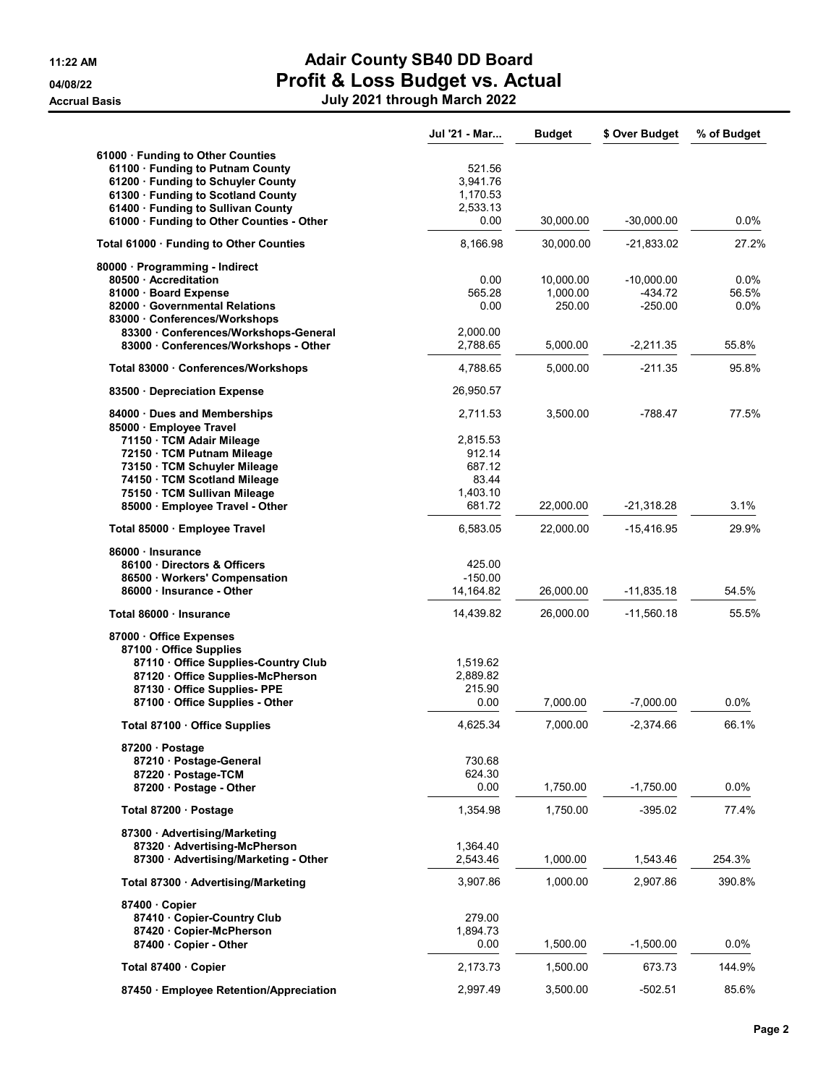|                                                          | Jul '21 - Mar          | <b>Budget</b>      | \$ Over Budget         | % of Budget      |
|----------------------------------------------------------|------------------------|--------------------|------------------------|------------------|
| 61000 · Funding to Other Counties                        |                        |                    |                        |                  |
| 61100 · Funding to Putnam County                         | 521.56                 |                    |                        |                  |
| 61200 · Funding to Schuyler County                       | 3,941.76               |                    |                        |                  |
| 61300 · Funding to Scotland County                       | 1,170.53               |                    |                        |                  |
| 61400 · Funding to Sullivan County                       | 2,533.13               |                    |                        |                  |
| 61000 · Funding to Other Counties - Other                | 0.00                   | 30,000.00          | $-30,000.00$           | 0.0%             |
| Total 61000 · Funding to Other Counties                  | 8,166.98               | 30,000.00          | $-21,833.02$           | 27.2%            |
| 80000 · Programming - Indirect                           |                        |                    |                        |                  |
| 80500 Accreditation                                      | 0.00                   | 10,000.00          | $-10,000.00$           | $0.0\%$          |
| 81000 · Board Expense<br>82000 Governmental Relations    | 565.28<br>0.00         | 1,000.00<br>250.00 | $-434.72$<br>$-250.00$ | 56.5%<br>$0.0\%$ |
| 83000 Conferences/Workshops                              |                        |                    |                        |                  |
| 83300 Conferences/Workshops-General                      | 2,000.00               |                    |                        |                  |
| 83000 Conferences/Workshops - Other                      | 2,788.65               | 5,000.00           | $-2,211.35$            | 55.8%            |
| Total 83000 · Conferences/Workshops                      | 4,788.65               | 5,000.00           | $-211.35$              | 95.8%            |
| 83500 Depreciation Expense                               | 26,950.57              |                    |                        |                  |
|                                                          | 2,711.53               | 3,500.00           | $-788.47$              | 77.5%            |
| 84000 Dues and Memberships<br>85000 Employee Travel      |                        |                    |                        |                  |
| 71150 · TCM Adair Mileage                                | 2,815.53               |                    |                        |                  |
| 72150 · TCM Putnam Mileage                               | 912.14                 |                    |                        |                  |
| 73150 · TCM Schuyler Mileage                             | 687.12                 |                    |                        |                  |
| 74150 · TCM Scotland Mileage                             | 83.44                  |                    |                        |                  |
| 75150 · TCM Sullivan Mileage                             | 1,403.10               |                    |                        |                  |
| 85000 · Employee Travel - Other                          | 681.72                 | 22,000.00          | $-21,318.28$           | 3.1%             |
| Total 85000 · Employee Travel                            | 6,583.05               | 22,000.00          | -15,416.95             | 29.9%            |
| 86000 · Insurance                                        |                        |                    |                        |                  |
| 86100 Directors & Officers                               | 425.00                 |                    |                        |                  |
| 86500 Workers' Compensation<br>86000 · Insurance - Other | $-150.00$<br>14,164.82 | 26,000.00          | $-11,835.18$           | 54.5%            |
|                                                          |                        |                    |                        |                  |
| Total 86000 · Insurance                                  | 14,439.82              | 26,000.00          | $-11,560.18$           | 55.5%            |
| 87000 Office Expenses<br>87100 Office Supplies           |                        |                    |                        |                  |
| 87110 Office Supplies-Country Club                       | 1,519.62               |                    |                        |                  |
| 87120 Office Supplies-McPherson                          | 2,889.82               |                    |                        |                  |
| 87130 Office Supplies- PPE                               | 215.90                 |                    |                        |                  |
| 87100 Office Supplies - Other                            | 0.00                   | 7,000.00           | $-7,000.00$            | 0.0%             |
| Total 87100 · Office Supplies                            | 4,625.34               | 7,000.00           | $-2,374.66$            | 66.1%            |
| 87200 · Postage                                          |                        |                    |                        |                  |
| 87210 Postage-General                                    | 730.68                 |                    |                        |                  |
| 87220 · Postage-TCM                                      | 624.30                 |                    |                        |                  |
| 87200 · Postage - Other                                  | 0.00                   | 1,750.00           | $-1,750.00$            | $0.0\%$          |
| Total 87200 · Postage                                    | 1,354.98               | 1,750.00           | -395.02                | 77.4%            |
| 87300 · Advertising/Marketing                            |                        |                    |                        |                  |
| 87320 Advertising-McPherson                              | 1,364.40               |                    |                        |                  |
| 87300 · Advertising/Marketing - Other                    | 2,543.46               | 1,000.00           | 1,543.46               | 254.3%           |
| Total 87300 · Advertising/Marketing                      | 3,907.86               | 1,000.00           | 2,907.86               | 390.8%           |
| 87400 Copier                                             |                        |                    |                        |                  |
| 87410 Copier-Country Club                                | 279.00                 |                    |                        |                  |
| 87420 Copier-McPherson                                   | 1,894.73               |                    |                        |                  |
| 87400 Copier - Other                                     | 0.00                   | 1,500.00           | $-1,500.00$            | 0.0%             |
|                                                          |                        |                    | 673.73                 |                  |
| Total 87400 · Copier                                     | 2,173.73               | 1,500.00           |                        | 144.9%           |
| 87450 Employee Retention/Appreciation                    | 2,997.49               | 3,500.00           | $-502.51$              | 85.6%            |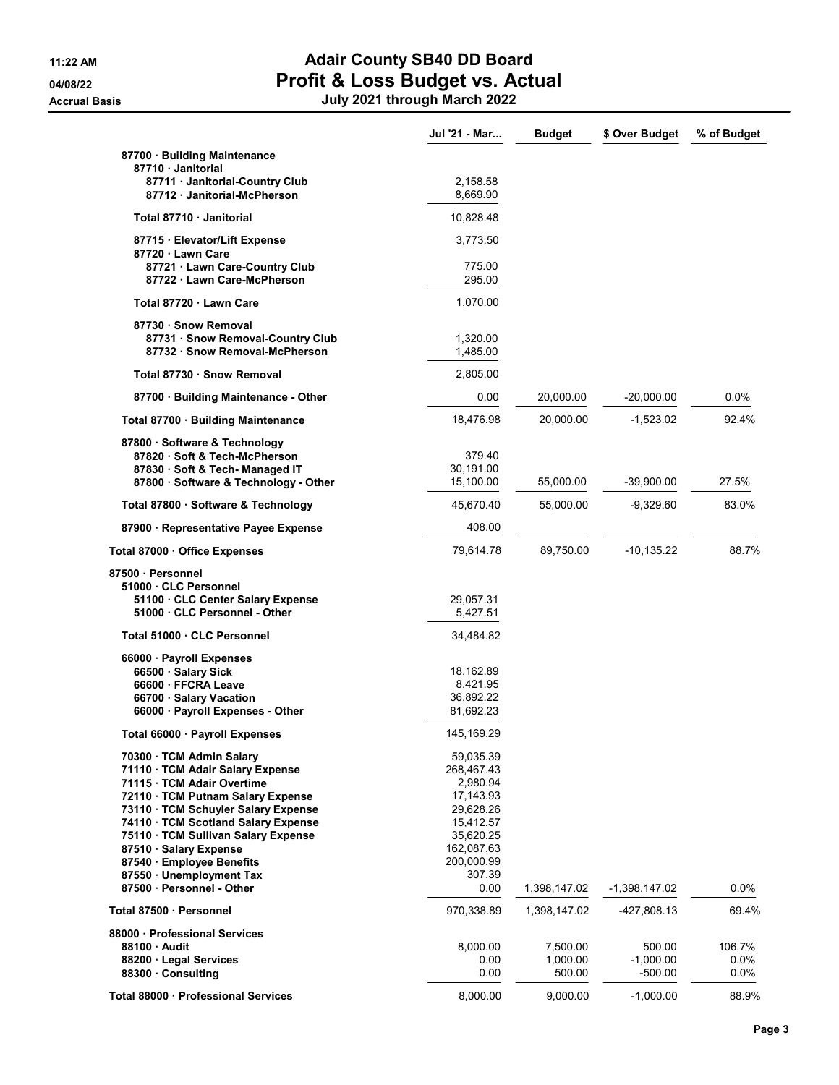|                                                             | Jul '21 - Mar        | <b>Budget</b> | \$ Over Budget  | % of Budget |
|-------------------------------------------------------------|----------------------|---------------|-----------------|-------------|
| 87700 · Building Maintenance                                |                      |               |                 |             |
| 87710 Janitorial                                            |                      |               |                 |             |
| 87711 Janitorial-Country Club<br>87712 Janitorial-McPherson | 2,158.58<br>8,669.90 |               |                 |             |
| Total 87710 Janitorial                                      | 10,828.48            |               |                 |             |
|                                                             |                      |               |                 |             |
| 87715 · Elevator/Lift Expense<br>87720 Lawn Care            | 3,773.50             |               |                 |             |
| 87721 · Lawn Care-Country Club                              | 775.00               |               |                 |             |
| 87722 Lawn Care-McPherson                                   | 295.00               |               |                 |             |
| Total 87720 · Lawn Care                                     | 1,070.00             |               |                 |             |
| 87730 · Snow Removal                                        |                      |               |                 |             |
| 87731 · Snow Removal-Country Club                           | 1,320.00             |               |                 |             |
| 87732 · Snow Removal-McPherson                              | 1,485.00             |               |                 |             |
| Total 87730 · Snow Removal                                  | 2,805.00             |               |                 |             |
| 87700 · Building Maintenance - Other                        | 0.00                 | 20,000.00     | $-20,000.00$    | 0.0%        |
| Total 87700 · Building Maintenance                          | 18,476.98            | 20,000.00     | -1,523.02       | 92.4%       |
|                                                             |                      |               |                 |             |
| 87800 · Software & Technology                               |                      |               |                 |             |
| 87820 Soft & Tech-McPherson                                 | 379.40               |               |                 |             |
| 87830 · Soft & Tech- Managed IT                             | 30,191.00            |               |                 |             |
| 87800 · Software & Technology - Other                       | 15,100.00            | 55,000.00     | $-39,900.00$    | 27.5%       |
| Total 87800 · Software & Technology                         | 45,670.40            | 55,000.00     | $-9,329.60$     | 83.0%       |
| 87900 · Representative Payee Expense                        | 408.00               |               |                 |             |
| Total 87000 · Office Expenses                               | 79,614.78            | 89,750.00     | $-10, 135.22$   | 88.7%       |
| 87500 · Personnel                                           |                      |               |                 |             |
| 51000 CLC Personnel                                         |                      |               |                 |             |
| 51100 CLC Center Salary Expense                             | 29,057.31            |               |                 |             |
| 51000 CLC Personnel - Other                                 | 5,427.51             |               |                 |             |
| Total 51000 · CLC Personnel                                 | 34,484.82            |               |                 |             |
| 66000 Payroll Expenses                                      |                      |               |                 |             |
| 66500 · Salary Sick                                         | 18,162.89            |               |                 |             |
| 66600 · FFCRA Leave                                         | 8,421.95             |               |                 |             |
|                                                             |                      |               |                 |             |
| 66700 Salary Vacation                                       | 36,892.22            |               |                 |             |
| 66000 · Payroll Expenses - Other                            | 81,692.23            |               |                 |             |
| Total 66000 · Payroll Expenses                              | 145, 169. 29         |               |                 |             |
| 70300 TCM Admin Salary                                      | 59,035.39            |               |                 |             |
| 71110 · TCM Adair Salary Expense                            | 268,467.43           |               |                 |             |
| 71115 · TCM Adair Overtime                                  | 2,980.94             |               |                 |             |
| 72110 · TCM Putnam Salary Expense                           | 17,143.93            |               |                 |             |
| 73110 · TCM Schuyler Salary Expense                         | 29,628.26            |               |                 |             |
| 74110 · TCM Scotland Salary Expense                         | 15,412.57            |               |                 |             |
| 75110 · TCM Sullivan Salary Expense                         | 35,620.25            |               |                 |             |
| 87510 · Salary Expense                                      | 162,087.63           |               |                 |             |
| 87540 · Employee Benefits                                   | 200,000.99           |               |                 |             |
| 87550 · Unemployment Tax                                    | 307.39               |               |                 |             |
| 87500 · Personnel - Other                                   | 0.00                 | 1,398,147.02  | $-1,398,147.02$ | 0.0%        |
|                                                             |                      |               |                 |             |
| Total 87500 · Personnel                                     | 970,338.89           | 1,398,147.02  | -427,808.13     | 69.4%       |
| 88000 Professional Services                                 |                      |               |                 |             |
| 88100 Audit                                                 | 8,000.00             | 7,500.00      | 500.00          | 106.7%      |
| 88200 · Legal Services                                      | 0.00                 | 1,000.00      | $-1,000.00$     | 0.0%        |
| 88300 Consulting                                            | 0.00                 | 500.00        | -500.00         | 0.0%        |
| Total 88000 · Professional Services                         | 8,000.00             | 9,000.00      | $-1,000.00$     | 88.9%       |